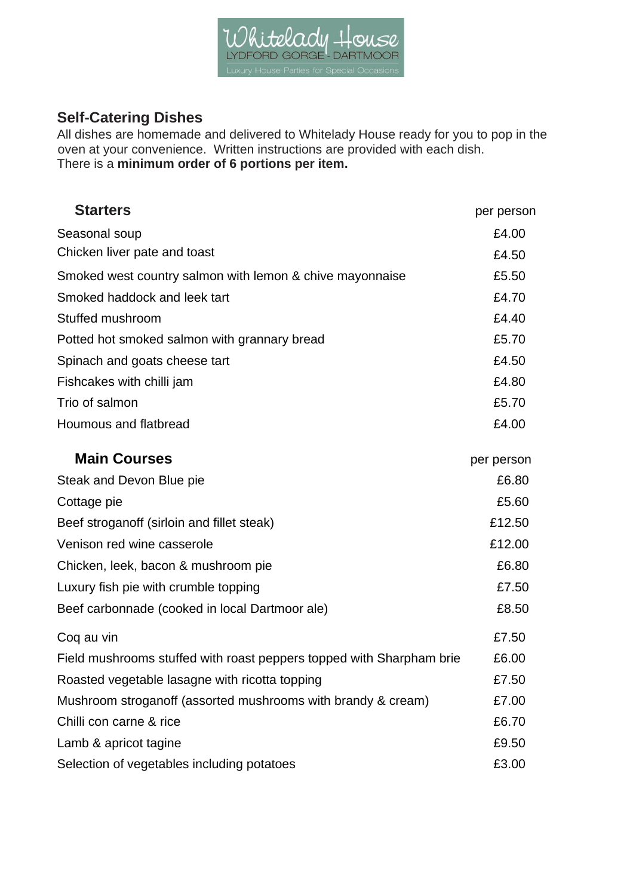

## **Self-Catering Dishes**

All dishes are homemade and delivered to Whitelady House ready for you to pop in the oven at your convenience. Written instructions are provided with each dish. There is a **minimum order of 6 portions per item.**

| <b>Starters</b>                                                      | per person |
|----------------------------------------------------------------------|------------|
| Seasonal soup                                                        | £4.00      |
| Chicken liver pate and toast                                         | £4.50      |
| Smoked west country salmon with lemon & chive mayonnaise             | £5.50      |
| Smoked haddock and leek tart                                         | £4.70      |
| Stuffed mushroom                                                     | £4.40      |
| Potted hot smoked salmon with grannary bread                         | £5.70      |
| Spinach and goats cheese tart                                        | £4.50      |
| Fishcakes with chilli jam                                            | £4.80      |
| Trio of salmon                                                       | £5.70      |
| Houmous and flatbread                                                | £4.00      |
| <b>Main Courses</b>                                                  | per person |
| Steak and Devon Blue pie                                             | £6.80      |
| Cottage pie                                                          | £5.60      |
| Beef stroganoff (sirloin and fillet steak)                           | £12.50     |
| Venison red wine casserole                                           | £12.00     |
| Chicken, leek, bacon & mushroom pie                                  | £6.80      |
| Luxury fish pie with crumble topping                                 | £7.50      |
| Beef carbonnade (cooked in local Dartmoor ale)                       | £8.50      |
| Coq au vin                                                           | £7.50      |
| Field mushrooms stuffed with roast peppers topped with Sharpham brie | £6.00      |
| Roasted vegetable lasagne with ricotta topping                       | £7.50      |
| Mushroom stroganoff (assorted mushrooms with brandy & cream)         | £7.00      |
| Chilli con carne & rice                                              | £6.70      |
| Lamb & apricot tagine                                                | £9.50      |
| Selection of vegetables including potatoes                           | £3.00      |